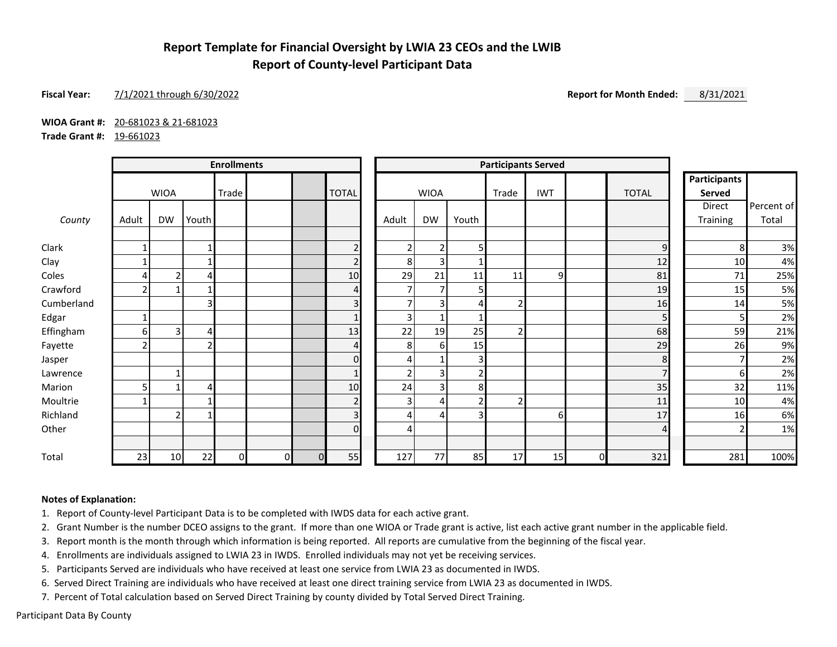# **Report Template for Financial Oversight by LWIA 23 CEOs and the LWIB Report of County-level Participant Data**

## **Fiscal Year:** 7/1/2021 through 6/30/2022 **Report for Month Ended:** 8/31/2021

**WIOA Grant #:** 20-681023 & 21-681023

**Trade Grant #:** 19-661023

|            | <b>Enrollments</b>       |                |       |       |          | <b>Participants Served</b> |                |                |                |       |       |            |          |                |                     |            |
|------------|--------------------------|----------------|-------|-------|----------|----------------------------|----------------|----------------|----------------|-------|-------|------------|----------|----------------|---------------------|------------|
|            |                          |                |       |       |          |                            |                |                |                |       |       |            |          |                | <b>Participants</b> |            |
|            |                          | <b>WIOA</b>    |       | Trade |          |                            | <b>TOTAL</b>   |                | <b>WIOA</b>    |       | Trade | <b>IWT</b> |          | <b>TOTAL</b>   | Served              |            |
|            |                          |                |       |       |          |                            |                |                |                |       |       |            |          |                | Direct              | Percent of |
| County     | Adult                    | <b>DW</b>      | Youth |       |          |                            |                | Adult          | DW             | Youth |       |            |          |                | Training            | Total      |
| Clark      |                          |                |       |       |          |                            | $\overline{2}$ | $\overline{2}$ | $\overline{2}$ | 5     |       |            |          | $\mathsf 9$    | 8                   | 3%         |
| Clay       |                          |                |       |       |          |                            | $\overline{2}$ | 8              | 3              |       |       |            |          | 12             | 10                  | 4%         |
| Coles      |                          | $\overline{2}$ | 4     |       |          |                            | 10             | 29             | 21             | 11    | 11    | 9          |          | 81             | 71                  | 25%        |
| Crawford   |                          | 1              |       |       |          |                            | 4              | $\overline{7}$ | $\overline{7}$ | 5     |       |            |          | 19             | 15                  | 5%         |
| Cumberland |                          |                | 3     |       |          |                            | 3              | ⇁              | $\overline{3}$ |       |       |            |          | 16             | 14                  | 5%         |
| Edgar      | $\overline{\phantom{a}}$ |                |       |       |          |                            | $\mathbf{1}$   | $\overline{3}$ | $\mathbf{1}$   |       |       |            |          | 5 <sup>1</sup> |                     | 2%         |
| Effingham  | 6                        | 3              | 4     |       |          |                            | 13             | 22             | 19             | 25    |       |            |          | 68             | 59                  | 21%        |
| Fayette    |                          |                |       |       |          |                            | 4              | 8              | 6              | 15    |       |            |          | 29             | 26                  | 9%         |
| Jasper     |                          |                |       |       |          |                            | $\mathbf 0$    | 4              |                | 3     |       |            |          | 8              |                     | 2%         |
| Lawrence   |                          | $\mathbf{1}$   |       |       |          |                            | $\mathbf{1}$   | 2 <sub>1</sub> | $\overline{3}$ | 2     |       |            |          | $\overline{7}$ | 6                   | 2%         |
| Marion     |                          | 1              | 4     |       |          |                            | 10             | 24             | $\overline{3}$ | 8     |       |            |          | 35             | 32                  | 11%        |
| Moultrie   |                          |                |       |       |          |                            | $\overline{2}$ | 3 <sub>1</sub> | 4              |       |       |            |          | 11             | 10                  | 4%         |
| Richland   |                          | $\overline{2}$ |       |       |          |                            | 3              | 4              | 4              | 31    |       | 61         |          | 17             | 16                  | 6%         |
| Other      |                          |                |       |       |          |                            | $\Omega$       | 4              |                |       |       |            |          | $\overline{4}$ |                     | 1%         |
|            |                          |                |       |       |          |                            |                |                |                |       |       |            |          |                |                     |            |
| Total      | 23                       | 10             | 22    | 0     | $\Omega$ | $\Omega$                   | 55             | 127            | 77             | 85    | 17    | 15         | $\Omega$ | 321            | 281                 | 100%       |

### **Notes of Explanation:**

1. Report of County-level Participant Data is to be completed with IWDS data for each active grant.

2. Grant Number is the number DCEO assigns to the grant. If more than one WIOA or Trade grant is active, list each active grant number in the applicable field.

3. Report month is the month through which information is being reported. All reports are cumulative from the beginning of the fiscal year.

4. Enrollments are individuals assigned to LWIA 23 in IWDS. Enrolled individuals may not yet be receiving services.

5. Participants Served are individuals who have received at least one service from LWIA 23 as documented in IWDS.

6. Served Direct Training are individuals who have received at least one direct training service from LWIA 23 as documented in IWDS.

7. Percent of Total calculation based on Served Direct Training by county divided by Total Served Direct Training.

Participant Data By County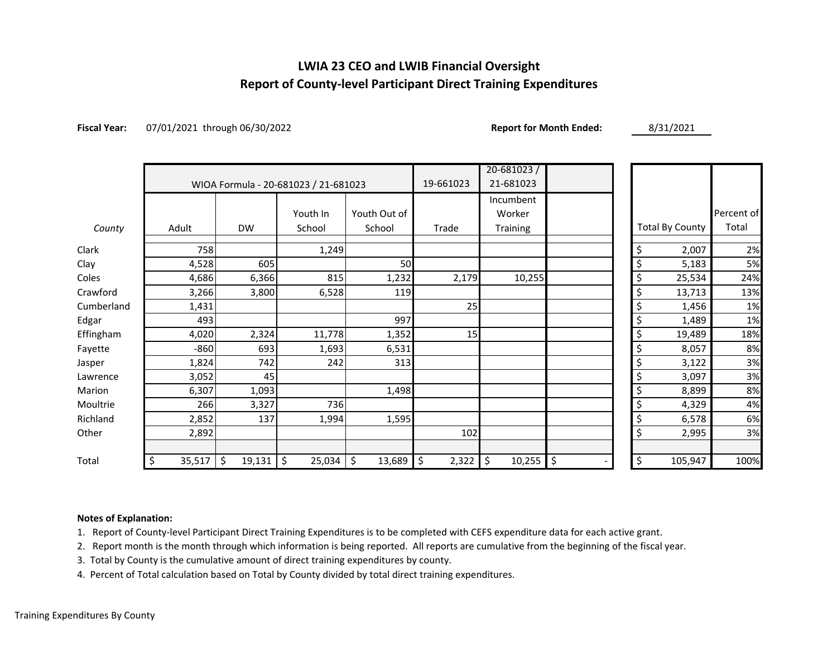# **LWIA 23 CEO and LWIB Financial Oversight Report of County-level Participant Direct Training Expenditures**

**Fiscal Year:** 07/01/2021 through 06/30/2022 **Report for Month Ended:** 8/31/2021

|            |              |              |                                      |              |             | $20 - 681023$ |          |                        |            |
|------------|--------------|--------------|--------------------------------------|--------------|-------------|---------------|----------|------------------------|------------|
|            |              |              | WIOA Formula - 20-681023 / 21-681023 |              | 19-661023   | 21-681023     |          |                        |            |
|            |              |              |                                      |              | Incumbent   |               |          |                        |            |
|            |              |              | Youth In                             | Youth Out of |             | Worker        |          |                        | Percent of |
| County     | Adult        | <b>DW</b>    | School                               | School       | Trade       | Training      |          | <b>Total By County</b> | Total      |
| Clark      | 758          |              | 1,249                                |              |             |               | \$       | 2,007                  | 2%         |
| Clay       | 4,528        | 605          |                                      | 50           |             |               | \$       | 5,183                  | 5%         |
| Coles      | 4,686        | 6,366        | 815                                  | 1,232        | 2,179       | 10,255        | \$       | 25,534                 | 24%        |
| Crawford   | 3,266        | 3,800        | 6,528                                | 119          |             |               | \$       | 13,713                 | 13%        |
| Cumberland | 1,431        |              |                                      |              | 25          |               | \$       | 1,456                  | 1%         |
| Edgar      | 493          |              |                                      | 997          |             |               | \$       | 1,489                  | 1%         |
| Effingham  | 4,020        | 2,324        | 11,778                               | 1,352        | 15          |               | \$       | 19,489                 | 18%        |
| Fayette    | $-860$       | 693          | 1,693                                | 6,531        |             |               | \$       | 8,057                  | 8%         |
| Jasper     | 1,824        | 742          | 242                                  | 313          |             |               | \$       | 3,122                  | 3%         |
| Lawrence   | 3,052        | 45           |                                      |              |             |               | \$       | 3,097                  | 3%         |
| Marion     | 6,307        | 1,093        |                                      | 1,498        |             |               | \$       | 8,899                  | 8%         |
| Moultrie   | 266          | 3,327        | 736                                  |              |             |               | \$       | 4,329                  | 4%         |
| Richland   | 2,852        | 137          | 1,994                                | 1,595        |             |               | \$       | 6,578                  | 6%         |
| Other      | 2,892        |              |                                      |              | 102         |               | \$       | 2,995                  | 3%         |
|            |              |              |                                      |              |             |               |          |                        |            |
| Total      | \$<br>35,517 | \$<br>19,131 | \$ ا<br>25,034                       | \$<br>13,689 | \$<br>2,322 | \$<br>10,255  | \$<br>\$ | 105,947                | 100%       |

## **Notes of Explanation:**

1. Report of County-level Participant Direct Training Expenditures is to be completed with CEFS expenditure data for each active grant.

2. Report month is the month through which information is being reported. All reports are cumulative from the beginning of the fiscal year.

3. Total by County is the cumulative amount of direct training expenditures by county.

4. Percent of Total calculation based on Total by County divided by total direct training expenditures.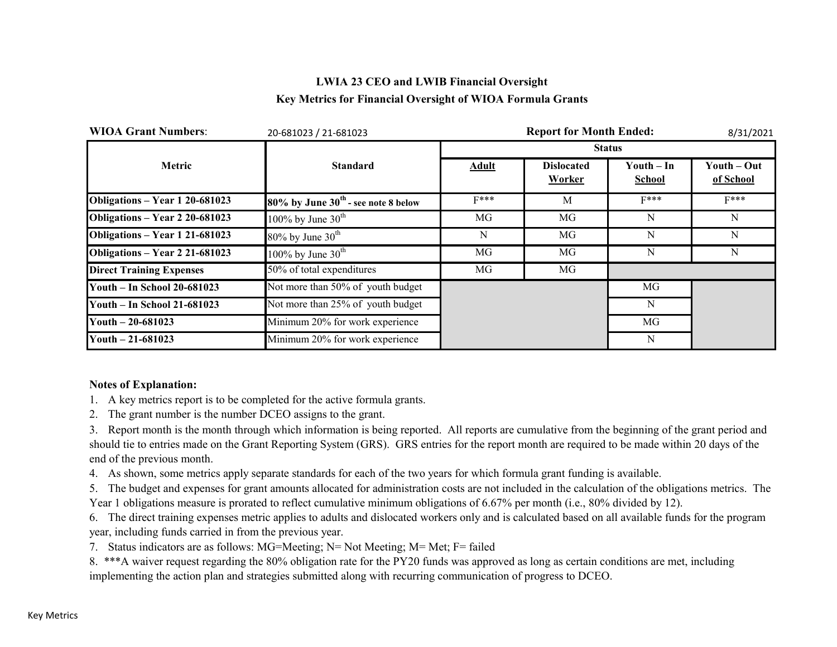# **LWIA 23 CEO and LWIB Financial Oversight Key Metrics for Financial Oversight of WIOA Formula Grants**

| <b>WIOA Grant Numbers:</b>      | 20-681023 / 21-681023                    |              | 8/31/2021                   |                             |                          |
|---------------------------------|------------------------------------------|--------------|-----------------------------|-----------------------------|--------------------------|
|                                 |                                          |              |                             | <b>Status</b>               |                          |
| Metric                          | <b>Standard</b>                          | <b>Adult</b> | <b>Dislocated</b><br>Worker | Youth – In<br><b>School</b> | Youth – Out<br>of School |
| Obligations - Year 1 20-681023  | $80\%$ by June $30th$ - see note 8 below | $F***$       | M                           | $F***$                      | $F***$                   |
| Obligations - Year 2 20-681023  | 100% by June $30^{\text{th}}$            | MG           | MG                          | N                           | N                        |
| Obligations - Year 1 21-681023  | $80\%$ by June $30th$                    | N            | MG                          | N                           | N                        |
| Obligations - Year 2 21-681023  | 100% by June $30th$                      | MG           | MG                          | N                           | N                        |
| <b>Direct Training Expenses</b> | 50% of total expenditures                | MG           | MG                          |                             |                          |
| Youth - In School 20-681023     | Not more than 50% of youth budget        |              |                             | MG                          |                          |
| Youth - In School 21-681023     | Not more than 25% of youth budget        |              |                             | N                           |                          |
| Youth $-20-681023$              | Minimum 20% for work experience          |              |                             | MG                          |                          |
| Youth $-21-681023$              | Minimum 20% for work experience          |              |                             | N                           |                          |

## **Notes of Explanation:**

- 1. A key metrics report is to be completed for the active formula grants.
- 2. The grant number is the number DCEO assigns to the grant.

3. Report month is the month through which information is being reported. All reports are cumulative from the beginning of the grant period and should tie to entries made on the Grant Reporting System (GRS). GRS entries for the report month are required to be made within 20 days of the end of the previous month.

4. As shown, some metrics apply separate standards for each of the two years for which formula grant funding is available.

5. The budget and expenses for grant amounts allocated for administration costs are not included in the calculation of the obligations metrics. The Year 1 obligations measure is prorated to reflect cumulative minimum obligations of 6.67% per month (i.e., 80% divided by 12).

6. The direct training expenses metric applies to adults and dislocated workers only and is calculated based on all available funds for the program year, including funds carried in from the previous year.

7. Status indicators are as follows: MG=Meeting; N= Not Meeting; M= Met; F= failed

8. \*\*\*A waiver request regarding the 80% obligation rate for the PY20 funds was approved as long as certain conditions are met, including implementing the action plan and strategies submitted along with recurring communication of progress to DCEO.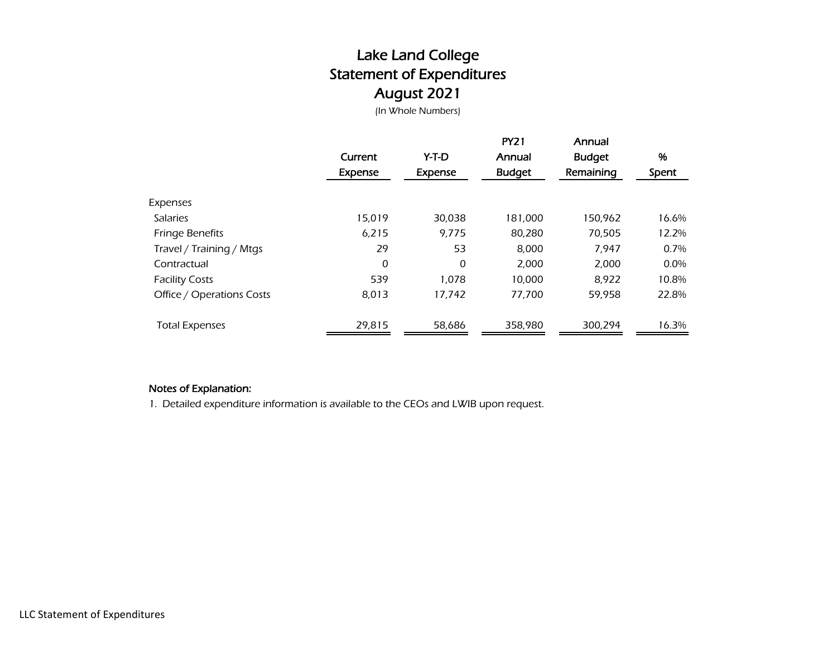# Lake Land College Statement of Expenditures August 2021

(In Whole Numbers)

|                           | Current<br>Expense | Y-T-D<br>Expense | <b>PY21</b><br>Annual<br><b>Budget</b> | Annual<br><b>Budget</b><br>Remaining | %<br>Spent |
|---------------------------|--------------------|------------------|----------------------------------------|--------------------------------------|------------|
| Expenses                  |                    |                  |                                        |                                      |            |
| <b>Salaries</b>           | 15,019             | 30,038           | 181,000                                | 150,962                              | 16.6%      |
| <b>Fringe Benefits</b>    | 6,215              | 9.775            | 80,280                                 | 70,505                               | 12.2%      |
| Travel / Training / Mtgs  | 29                 | 53               | 8,000                                  | 7,947                                | 0.7%       |
| Contractual               | 0                  | 0                | 2,000                                  | 2,000                                | $0.0\%$    |
| <b>Facility Costs</b>     | 539                | 1.078            | 10.000                                 | 8,922                                | 10.8%      |
| Office / Operations Costs | 8,013              | 17,742           | 77,700                                 | 59,958                               | 22.8%      |
| <b>Total Expenses</b>     | 29,815             | 58,686           | 358,980                                | 300,294                              | 16.3%      |

## Notes of Explanation:

1. Detailed expenditure information is available to the CEOs and LWIB upon request.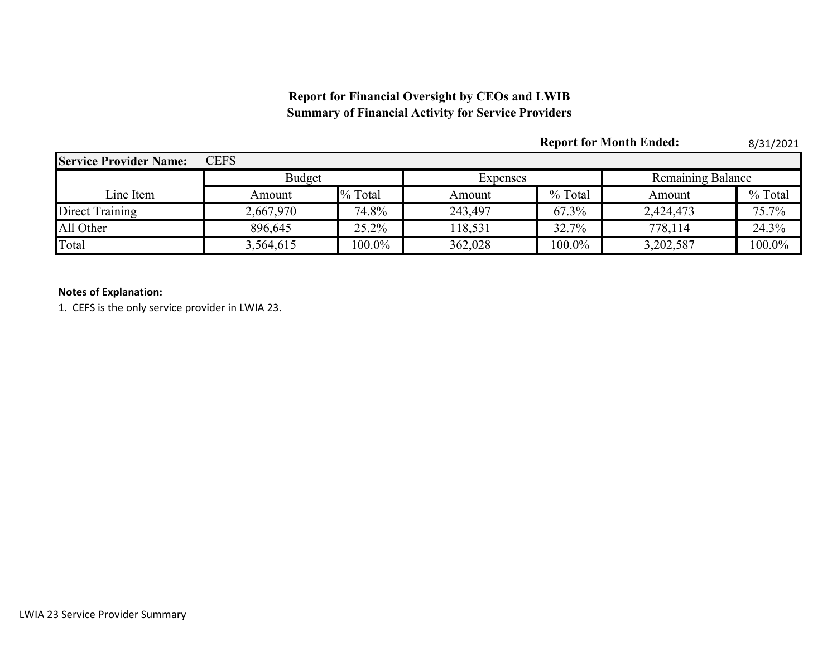# **Report for Financial Oversight by CEOs and LWIB Summary of Financial Activity for Service Providers**

|                               |               |           |          |         | <b>Report for Month Ended:</b> | 8/31/2021 |  |
|-------------------------------|---------------|-----------|----------|---------|--------------------------------|-----------|--|
| <b>Service Provider Name:</b> | <b>CEFS</b>   |           |          |         |                                |           |  |
|                               | <b>Budget</b> |           | Expenses |         | <b>Remaining Balance</b>       |           |  |
| Line Item                     | Amount        | % Total   | Amount   | % Total | Amount                         | % Total   |  |
| Direct Training               | 2,667,970     | 74.8%     | 243,497  | 67.3%   | 2,424,473                      | 75.7%     |  |
| All Other                     | 896,645       | 25.2%     | 118,531  | 32.7%   | 778,114                        | 24.3%     |  |
| Total                         | 3,564,615     | $100.0\%$ | 362,028  | 100.0%  | 3,202,587                      | 100.0%    |  |

## **Notes of Explanation:**

1. CEFS is the only service provider in LWIA 23.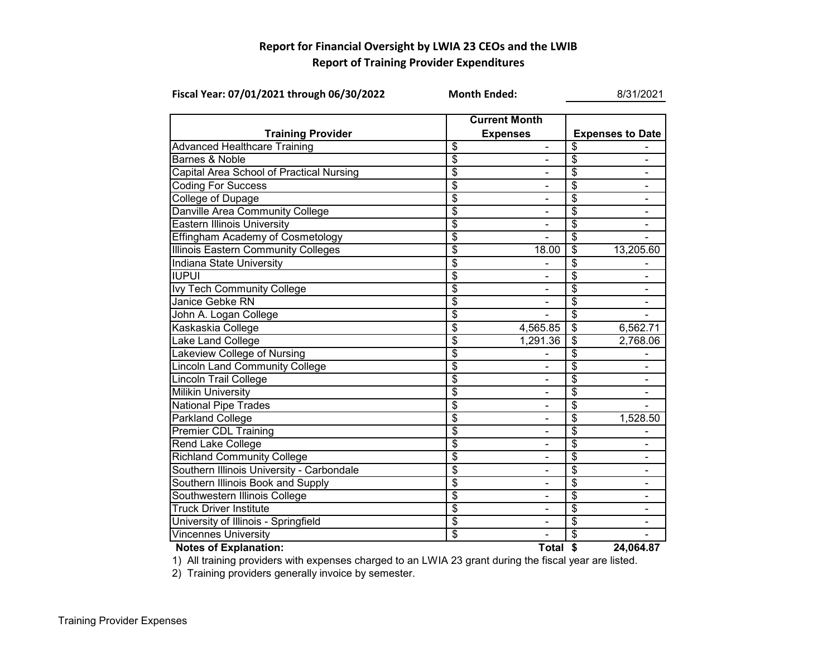## **Report for Financial Oversight by LWIA 23 CEOs and the LWIB Report of Training Provider Expenditures**

| Fiscal Year: 07/01/2021 through 06/30/2022 | <b>Month Ended:</b>                     | 8/31/2021                |                          |                              |  |  |
|--------------------------------------------|-----------------------------------------|--------------------------|--------------------------|------------------------------|--|--|
| <b>Training Provider</b>                   | <b>Current Month</b><br><b>Expenses</b> |                          |                          | <b>Expenses to Date</b>      |  |  |
| <b>Advanced Healthcare Training</b>        | \$                                      | $\blacksquare$           | \$                       |                              |  |  |
| Barnes & Noble                             | \$                                      | -                        | \$                       | $\blacksquare$               |  |  |
| Capital Area School of Practical Nursing   | \$                                      | ۰                        | \$                       | $\overline{\phantom{a}}$     |  |  |
| <b>Coding For Success</b>                  | \$                                      |                          | \$                       |                              |  |  |
| <b>College of Dupage</b>                   | $\overline{\$}$                         |                          | \$                       |                              |  |  |
| Danville Area Community College            | \$                                      |                          | \$                       |                              |  |  |
| <b>Eastern Illinois University</b>         | $\overline{\$}$                         |                          | \$                       |                              |  |  |
| <b>Effingham Academy of Cosmetology</b>    | \$                                      |                          | \$                       |                              |  |  |
| <b>Illinois Eastern Community Colleges</b> | $\overline{\$}$                         | 18.00                    | $\overline{\mathcal{E}}$ | 13,205.60                    |  |  |
| <b>Indiana State University</b>            | $\overline{\$}$                         |                          | \$                       |                              |  |  |
| <b>IUPUI</b>                               | $\overline{\$}$                         |                          | \$                       |                              |  |  |
| <b>Ivy Tech Community College</b>          | $\overline{\$}$                         | $\overline{\phantom{0}}$ | \$                       |                              |  |  |
| Janice Gebke RN                            | $\overline{\$}$                         | -                        | \$                       | $\overline{\phantom{a}}$     |  |  |
| John A. Logan College                      | \$                                      |                          | \$                       |                              |  |  |
| Kaskaskia College                          | $\overline{\$}$                         | 4,565.85                 | $\overline{\mathcal{S}}$ | 6,562.71                     |  |  |
| Lake Land College                          | $\overline{\$}$                         | 1,291.36                 | $\overline{\$}$          | 2,768.06                     |  |  |
| Lakeview College of Nursing                | $\overline{\$}$                         |                          | \$                       |                              |  |  |
| <b>Lincoln Land Community College</b>      | $\overline{\$}$                         |                          | \$                       |                              |  |  |
| <b>Lincoln Trail College</b>               | $\overline{\$}$                         |                          | \$                       |                              |  |  |
| <b>Milikin University</b>                  | \$                                      |                          | \$                       |                              |  |  |
| <b>National Pipe Trades</b>                | $\overline{\$}$                         |                          | \$                       |                              |  |  |
| Parkland College                           | $\overline{\$}$                         | ä,                       | \$                       | 1,528.50                     |  |  |
| <b>Premier CDL Training</b>                | $\overline{\$}$                         |                          | \$                       |                              |  |  |
| Rend Lake College                          | $\overline{\$}$                         |                          | \$                       |                              |  |  |
| <b>Richland Community College</b>          | $\overline{\$}$                         | -                        | \$                       | $\qquad \qquad \blacksquare$ |  |  |
| Southern Illinois University - Carbondale  | $\overline{\$}$                         | ۰                        | \$                       | $\blacksquare$               |  |  |
| Southern Illinois Book and Supply          | $\overline{\$}$                         | $\overline{\phantom{0}}$ | \$                       | $\blacksquare$               |  |  |
| Southwestern Illinois College              | $\overline{\mathbf{3}}$                 |                          | \$                       |                              |  |  |
| <b>Truck Driver Institute</b>              | $\overline{\$}$                         | ۰                        | \$                       |                              |  |  |
| University of Illinois - Springfield       | $\overline{\$}$                         |                          | \$                       |                              |  |  |
| <b>Vincennes University</b>                | $\overline{\mathcal{S}}$                |                          | \$                       |                              |  |  |
| <b>Notes of Explanation:</b>               |                                         | Total \$                 |                          | 24,064.87                    |  |  |



1) All training providers with expenses charged to an LWIA 23 grant during the fiscal year are listed.

2) Training providers generally invoice by semester.